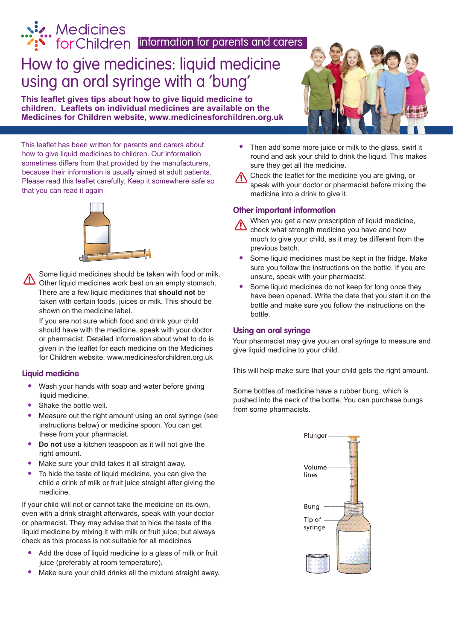information for parents and carers.<br> **Example:** The Children linformation for parents and carers

# How to give medicines: liquid medicine using an oral syringe with a 'bung'

**This leaflet gives tips about how to give liquid medicine to children. Leaflets on individual medicines are available on the Medicines for Children website, www.medicinesforchildren.org.uk**



This leaflet has been written for parents and carers about how to give liquid medicines to children. Our information sometimes differs from that provided by the manufacturers, because their information is usually aimed at adult patients. Please read this leaflet carefully. Keep it somewhere safe so that you can read it again



Some liquid medicines should be taken with food or milk. Other liquid medicines work best on an empty stomach. There are a few liquid medicines that **should not** be taken with certain foods, juices or milk. This should be shown on the medicine label.

If you are not sure which food and drink your child should have with the medicine, speak with your doctor or pharmacist. Detailed information about what to do is given in the leaflet for each medicine on the Medicines for Children website, www.medicinesforchildren.org.uk

## **Liquid medicine**

- **•** Wash your hands with soap and water before giving liquid medicine.
- **•** Shake the bottle well.
- **•** Measure out the right amount using an oral syringe (see instructions below) or medicine spoon. You can get these from your pharmacist.
- **• Do not** use a kitchen teaspoon as it will not give the right amount.
- **•** Make sure your child takes it all straight away.
- **•** To hide the taste of liquid medicine, you can give the child a drink of milk or fruit juice straight after giving the medicine.

If your child will not or cannot take the medicine on its own, even with a drink straight afterwards, speak with your doctor or pharmacist. They may advise that to hide the taste of the liquid medicine by mixing it with milk or fruit juice; but always check as this process is not suitable for all medicines

- **•** Add the dose of liquid medicine to a glass of milk or fruit juice (preferably at room temperature).
- **•** Make sure your child drinks all the mixture straight away.

**•** Then add some more juice or milk to the glass, swirl it round and ask your child to drink the liquid. This makes sure they get all the medicine.

Check the leaflet for the medicine you are giving, or speak with your doctor or pharmacist before mixing the medicine into a drink to give it.

# **Other important information**

When you get a new prescription of liquid medicine,

- check what strength medicine you have and how much to give your child, as it may be different from the previous batch.
- **•** Some liquid medicines must be kept in the fridge. Make sure you follow the instructions on the bottle. If you are unsure, speak with your pharmacist.
- **•** Some liquid medicines do not keep for long once they have been opened. Write the date that you start it on the bottle and make sure you follow the instructions on the bottle.

# **Using an oral syringe**

Your pharmacist may give you an oral syringe to measure and give liquid medicine to your child.

This will help make sure that your child gets the right amount.

Some bottles of medicine have a rubber bung, which is pushed into the neck of the bottle. You can purchase bungs from some pharmacists.